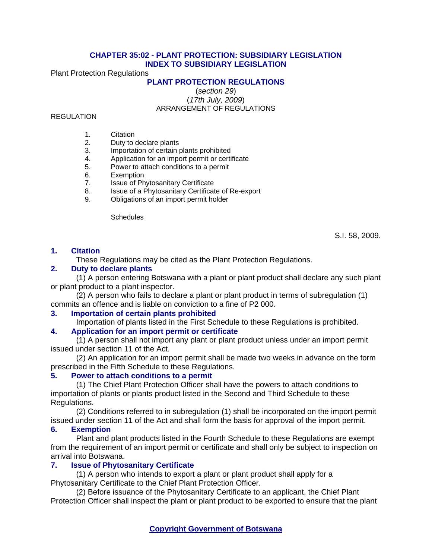## **CHAPTER 35:02 - PLANT PROTECTION: SUBSIDIARY LEGISLATION INDEX TO SUBSIDIARY LEGISLATION**

Plant Protection Regulations

## **PLANT PROTECTION REGULATIONS**

(*section 29*) (*17th July, 2009*)

ARRANGEMENT OF REGULATIONS

## **REGULATION**

- 1. Citation
- 2. Duty to declare plants
- 3. Importation of certain plants prohibited
- 4. Application for an import permit or certificate<br>5. Power to attach conditions to a permit
- Power to attach conditions to a permit
- 6. Exemption
- 7. Issue of Phytosanitary Certificate
- 8. Issue of a Phytosanitary Certificate of Re-export
- 9. Obligations of an import permit holder

**Schedules** 

S.I. 58, 2009.

## **1. Citation**

These Regulations may be cited as the Plant Protection Regulations.

## **2. Duty to declare plants**

(1) A person entering Botswana with a plant or plant product shall declare any such plant or plant product to a plant inspector.

(2) A person who fails to declare a plant or plant product in terms of subregulation (1) commits an offence and is liable on conviction to a fine of P2 000.

## **3. Importation of certain plants prohibited**

Importation of plants listed in the First Schedule to these Regulations is prohibited.

## **4. Application for an import permit or certificate**

(1) A person shall not import any plant or plant product unless under an import permit issued under section 11 of the Act.

(2) An application for an import permit shall be made two weeks in advance on the form prescribed in the Fifth Schedule to these Regulations.

## **5. Power to attach conditions to a permit**

(1) The Chief Plant Protection Officer shall have the powers to attach conditions to importation of plants or plants product listed in the Second and Third Schedule to these Regulations.

(2) Conditions referred to in subregulation (1) shall be incorporated on the import permit issued under section 11 of the Act and shall form the basis for approval of the import permit.

## **6. Exemption**

Plant and plant products listed in the Fourth Schedule to these Regulations are exempt from the requirement of an import permit or certificate and shall only be subject to inspection on arrival into Botswana.

## **7. Issue of Phytosanitary Certificate**

(1) A person who intends to export a plant or plant product shall apply for a Phytosanitary Certificate to the Chief Plant Protection Officer.

(2) Before issuance of the Phytosanitary Certificate to an applicant, the Chief Plant Protection Officer shall inspect the plant or plant product to be exported to ensure that the plant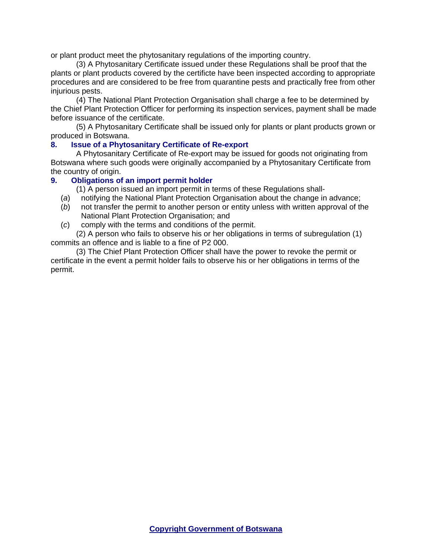or plant product meet the phytosanitary regulations of the importing country.

(3) A Phytosanitary Certificate issued under these Regulations shall be proof that the plants or plant products covered by the certificte have been inspected according to appropriate procedures and are considered to be free from quarantine pests and practically free from other injurious pests.

(4) The National Plant Protection Organisation shall charge a fee to be determined by the Chief Plant Protection Officer for performing its inspection services, payment shall be made before issuance of the certificate.

(5) A Phytosanitary Certificate shall be issued only for plants or plant products grown or produced in Botswana.

## **8. Issue of a Phytosanitary Certificate of Re-export**

A Phytosanitary Certificate of Re-export may be issued for goods not originating from Botswana where such goods were originally accompanied by a Phytosanitary Certificate from the country of origin.

## **9. Obligations of an import permit holder**

(1) A person issued an import permit in terms of these Regulations shall-

- (*a*) notifying the National Plant Protection Organisation about the change in advance;
- (*b*) not transfer the permit to another person or entity unless with written approval of the National Plant Protection Organisation; and
- (*c*) comply with the terms and conditions of the permit.

(2) A person who fails to observe his or her obligations in terms of subregulation (1) commits an offence and is liable to a fine of P2 000.

(3) The Chief Plant Protection Officer shall have the power to revoke the permit or certificate in the event a permit holder fails to observe his or her obligations in terms of the permit.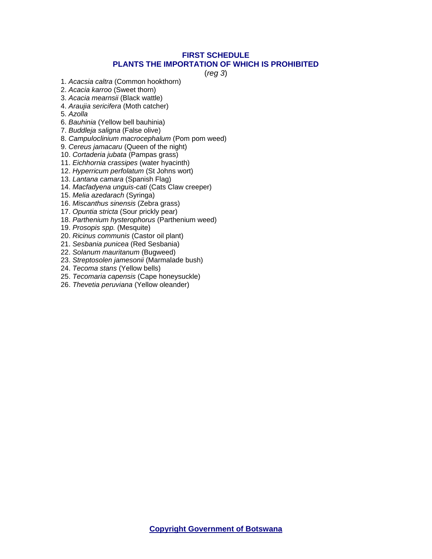## **FIRST SCHEDULE PLANTS THE IMPORTATION OF WHICH IS PROHIBITED**

(*reg 3*)

- 1. *Acacsia caltra* (Common hookthorn)
- 2. *Acacia karroo* (Sweet thorn)
- 3. *Acacia mearnsii* (Black wattle)
- 4. *Araujia sericifera* (Moth catcher)
- 5. *Azolla*
- 6. *Bauhinia* (Yellow bell bauhinia)
- 7. *Buddleja saligna* (False olive)
- 8. *Campuloclinium macrocephalum* (Pom pom weed)
- 9. *Cereus jamacaru* (Queen of the night)
- 10. *Cortaderia jubata* (Pampas grass)
- 11. *Eichhornia crassipes* (water hyacinth)
- 12. *Hyperricum perfolatum* (St Johns wort)
- 13. *Lantana camara* (Spanish Flag)
- 14. *Macfadyena unguis-cati* (Cats Claw creeper)
- 15. *Melia azedarach* (Syringa)
- 16. *Miscanthus sinensis* (Zebra grass)
- 17. *Opuntia stricta* (Sour prickly pear)
- 18. *Parthenium hysterophorus* (Parthenium weed)
- 19. *Prosopis spp.* (Mesquite)
- 20. *Ricinus communis* (Castor oil plant)
- 21. *Sesbania punicea* (Red Sesbania)
- 22. *Solanum mauritanum* (Bugweed)
- 23. *Streptosolen jamesonii* (Marmalade bush)
- 24. *Tecoma stans* (Yellow bells)
- 25. *Tecomaria capensis* (Cape honeysuckle)
- 26. *Thevetia peruviana* (Yellow oleander)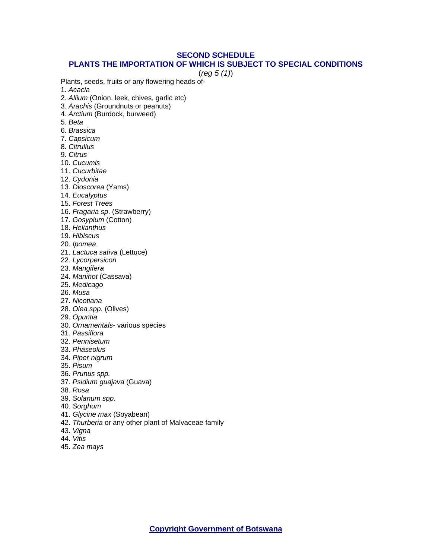## **SECOND SCHEDULE**

#### **PLANTS THE IMPORTATION OF WHICH IS SUBJECT TO SPECIAL CONDITIONS**

(*reg 5 (1)*)

Plants, seeds, fruits or any flowering heads of-

- 1. *Acacia*
- 2. *Allium* (Onion, leek, chives, garlic etc)
- 3. *Arachis* (Groundnuts or peanuts)
- 4. *Arctium* (Burdock, burweed)
- 5. *Beta*
- 6. *Brassica*
- 7. *Capsicum*
- 8. *Citrullus*
- 9. *Citrus*
- 10. *Cucumis*
- 11. *Cucurbitae*
- 12. *Cydonia*
- 13. *Dioscorea* (Yams)
- 14. *Eucalyptus*
- 15. *Forest Trees*
- 16. *Fragaria sp*. (Strawberry)
- 17. *Gosypium* (Cotton)
- 18. *Helianthus*
- 19. *Hibiscus*
- 20. *Ipomea*
- 21. *Lactuca sativa* (Lettuce)
- 22. *Lycorpersicon*
- 23. *Mangifera*
- 24. *Manihot* (Cassava)
- 25. *Medicago*
- 26. *Musa*
- 27. *Nicotiana*
- 28. *Olea spp*. (Olives)
- 29. *Opuntia*
- 30. *Ornamentals* various species
- 31. *Passiflora*
- 32. *Pennisetum*
- 33. *Phaseolus*
- 34. *Piper nigrum*
- 35. *Pisum*
- 36. *Prunus spp.*
- 37. *Psidium guajava* (Guava)
- 38. *Rosa*
- 39. *Solanum spp*.
- 40. *Sorghum*
- 41. *Glycine max* (Soyabean)
- 42. *Thurberia* or any other plant of Malvaceae family
- 43. *Vigna*
- 44. *Vitis*
- 45. *Zea mays*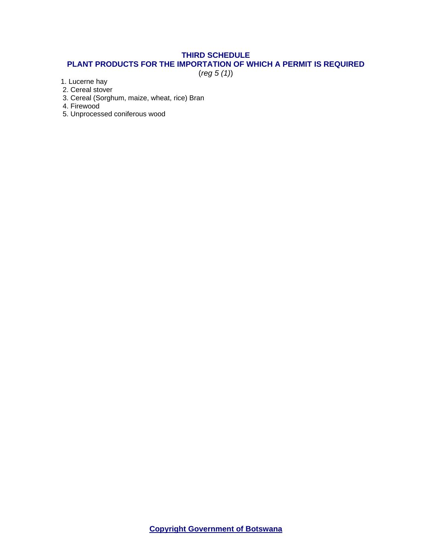# **THIRD SCHEDULE**

## **PLANT PRODUCTS FOR THE IMPORTATION OF WHICH A PERMIT IS REQUIRED**

(*reg 5 (1)*)

1. Lucerne hay

2. Cereal stover

3. Cereal (Sorghum, maize, wheat, rice) Bran

4. Firewood

5. Unprocessed coniferous wood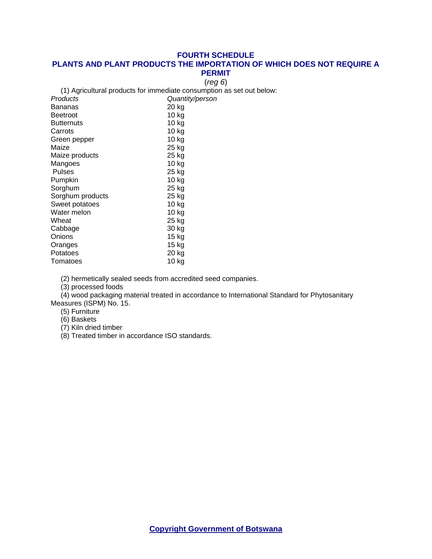#### **FOURTH SCHEDULE**

#### **PLANTS AND PLANT PRODUCTS THE IMPORTATION OF WHICH DOES NOT REQUIRE A PERMIT**

(*reg 6*)

(1) Agricultural products for immediate consumption as set out below:

| Products         | Quantity/person |
|------------------|-----------------|
| Bananas          | 20 kg           |
| <b>Beetroot</b>  | 10 kg           |
| Butternuts       | 10 kg           |
| Carrots          | 10 kg           |
| Green pepper     | 10 kg           |
| Maize            | 25 kg           |
| Maize products   | 25 kg           |
| Mangoes          | 10 kg           |
| Pulses           | 25 kg           |
| Pumpkin          | $10$ kg         |
| Sorghum          | 25 kg           |
| Sorghum products | 25 kg           |
| Sweet potatoes   | 10 kg           |
| Water melon      | 10 kg           |
| Wheat            | 25 kg           |
| Cabbage          | 30 kg           |
| Onions           | 15 kg           |
| Oranges          | 15 kg           |
| Potatoes         | 20 kg           |
| Tomatoes         | 10 kg           |

(2) hermetically sealed seeds from accredited seed companies.

(3) processed foods

(4) wood packaging material treated in accordance to International Standard for Phytosanitary Measures (ISPM) No. 15.

- (5) Furniture
- (6) Baskets
- (7) Kiln dried timber
- (8) Treated timber in accordance ISO standards.